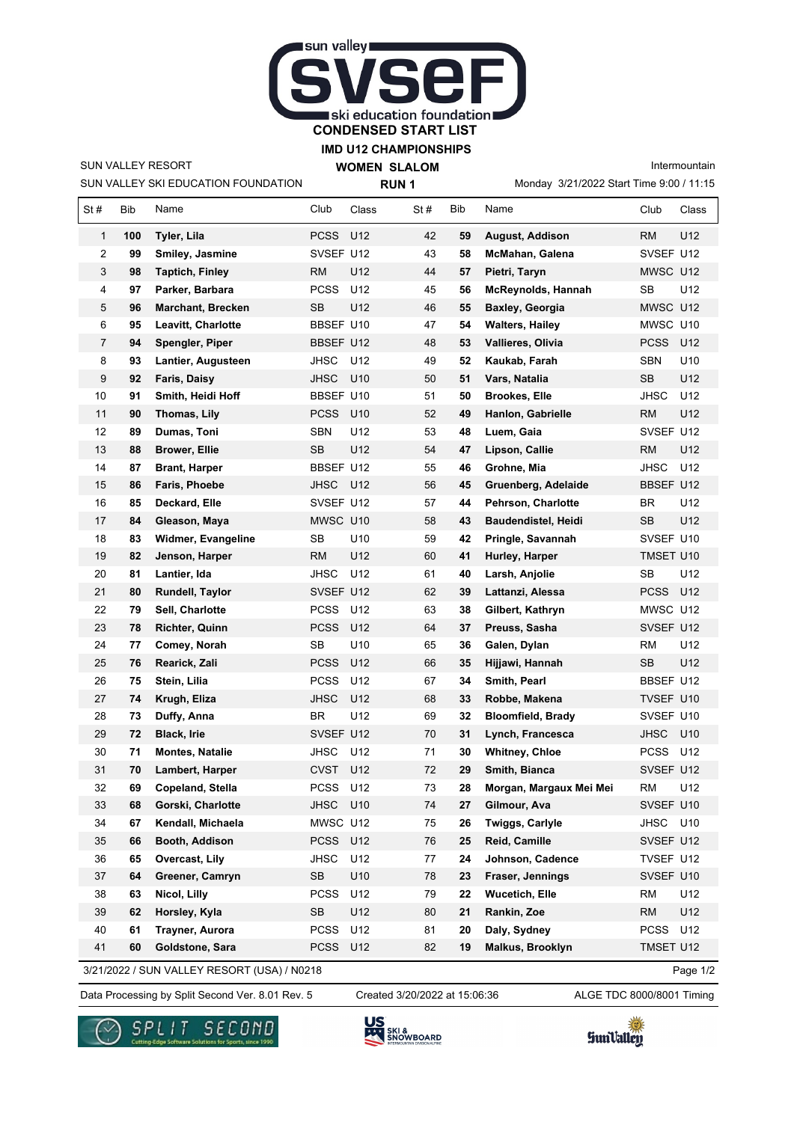

**IMD U12 CHAMPIONSHIPS**

SUN VALLEY RESORT

SUN VALLEY SKI EDUCATION FOUNDATION

**WOMEN SLALOM RUN 1**

Monday 3/21/2022 Start Time 9:00 / 11:15 Intermountain

| St#                                                     | Bib | Name                     | Club        | Class           | St# | Bib | Name                       | Club        | Class           |  |  |
|---------------------------------------------------------|-----|--------------------------|-------------|-----------------|-----|-----|----------------------------|-------------|-----------------|--|--|
| $\mathbf{1}$                                            | 100 | Tyler, Lila              | PCSS        | U12             | 42  | 59  | <b>August, Addison</b>     | <b>RM</b>   | U12             |  |  |
| 2                                                       | 99  | Smiley, Jasmine          | SVSEF U12   |                 | 43  | 58  | McMahan, Galena            | SVSEF U12   |                 |  |  |
| 3                                                       | 98  | <b>Taptich, Finley</b>   | <b>RM</b>   | U12             | 44  | 57  | Pietri, Taryn              | MWSC U12    |                 |  |  |
| 4                                                       | 97  | Parker, Barbara          | <b>PCSS</b> | U12             | 45  | 56  | McReynolds, Hannah         | <b>SB</b>   | U12             |  |  |
| 5                                                       | 96  | <b>Marchant, Brecken</b> | SB          | U12             | 46  | 55  | <b>Baxley, Georgia</b>     | MWSC U12    |                 |  |  |
| 6                                                       | 95  | Leavitt, Charlotte       | BBSEF U10   |                 | 47  | 54  | <b>Walters, Hailey</b>     | MWSC U10    |                 |  |  |
| $\overline{7}$                                          | 94  | Spengler, Piper          | BBSEF U12   |                 | 48  | 53  | Vallieres, Olivia          | <b>PCSS</b> | U12             |  |  |
| 8                                                       | 93  | Lantier, Augusteen       | JHSC        | U12             | 49  | 52  | Kaukab, Farah              | SBN         | U10             |  |  |
| 9                                                       | 92  | Faris, Daisy             | <b>JHSC</b> | U10             | 50  | 51  | Vars, Natalia              | <b>SB</b>   | U12             |  |  |
| 10                                                      | 91  | Smith, Heidi Hoff        | BBSEF U10   |                 | 51  | 50  | <b>Brookes, Elle</b>       | <b>JHSC</b> | U12             |  |  |
| 11                                                      | 90  | Thomas, Lily             | <b>PCSS</b> | U <sub>10</sub> | 52  | 49  | Hanlon, Gabrielle          | <b>RM</b>   | U12             |  |  |
| 12                                                      | 89  | Dumas, Toni              | <b>SBN</b>  | U12             | 53  | 48  | Luem, Gaia                 | SVSEF U12   |                 |  |  |
| 13                                                      | 88  | <b>Brower, Ellie</b>     | SB          | U12             | 54  | 47  | Lipson, Callie             | RM          | U12             |  |  |
| 14                                                      | 87  | <b>Brant, Harper</b>     | BBSEF U12   |                 | 55  | 46  | Grohne, Mia                | <b>JHSC</b> | U12             |  |  |
| 15                                                      | 86  | Faris, Phoebe            | JHSC        | U12             | 56  | 45  | Gruenberg, Adelaide        | BBSEF U12   |                 |  |  |
| 16                                                      | 85  | Deckard, Elle            | SVSEF U12   |                 | 57  | 44  | Pehrson, Charlotte         | BR          | U12             |  |  |
| 17                                                      | 84  | Gleason, Maya            | MWSC U10    |                 | 58  | 43  | <b>Baudendistel, Heidi</b> | SB          | U12             |  |  |
| 18                                                      | 83  | Widmer, Evangeline       | SB          | U <sub>10</sub> | 59  | 42  | Pringle, Savannah          | SVSEF U10   |                 |  |  |
| 19                                                      | 82  | Jenson, Harper           | RM          | U12             | 60  | 41  | Hurley, Harper             | TMSET U10   |                 |  |  |
| 20                                                      | 81  | Lantier, Ida             | JHSC        | U12             | 61  | 40  | Larsh, Anjolie             | <b>SB</b>   | U12             |  |  |
| 21                                                      | 80  | Rundell, Taylor          | SVSEF U12   |                 | 62  | 39  | Lattanzi, Alessa           | <b>PCSS</b> | U12             |  |  |
| 22                                                      | 79  | Sell, Charlotte          | <b>PCSS</b> | U12             | 63  | 38  | Gilbert, Kathryn           | MWSC U12    |                 |  |  |
| 23                                                      | 78  | Richter, Quinn           | <b>PCSS</b> | U12             | 64  | 37  | Preuss, Sasha              | SVSEF U12   |                 |  |  |
| 24                                                      | 77  | Comey, Norah             | SB          | U <sub>10</sub> | 65  | 36  | Galen, Dylan               | RM          | U12             |  |  |
| 25                                                      | 76  | Rearick, Zali            | PCSS        | U12             | 66  | 35  | Hijjawi, Hannah            | SB          | U12             |  |  |
| 26                                                      | 75  | Stein, Lilia             | <b>PCSS</b> | U12             | 67  | 34  | Smith, Pearl               | BBSEF U12   |                 |  |  |
| 27                                                      | 74  | Krugh, Eliza             | <b>JHSC</b> | U12             | 68  | 33  | Robbe, Makena              | TVSEF U10   |                 |  |  |
| 28                                                      | 73  | Duffy, Anna              | BR          | U12             | 69  | 32  | <b>Bloomfield, Brady</b>   | SVSEF U10   |                 |  |  |
| 29                                                      | 72  | <b>Black, Irie</b>       | SVSEF U12   |                 | 70  | 31  | Lynch, Francesca           | <b>JHSC</b> | U <sub>10</sub> |  |  |
| 30                                                      | 71  | <b>Montes, Natalie</b>   | <b>JHSC</b> | U12             | 71  | 30  | <b>Whitney, Chloe</b>      | PCSS        | U12             |  |  |
| 31                                                      | 70  | Lambert, Harper          | <b>CVST</b> | U12             | 72  | 29  | Smith, Bianca              | SVSEF U12   |                 |  |  |
| 32                                                      | 69  | Copeland, Stella         | PCSS U12    |                 | 73  | 28  | Morgan, Margaux Mei Mei    | RM          | U12             |  |  |
| 33                                                      | 68  | Gorski, Charlotte        | <b>JHSC</b> | U10             | 74  | 27  | Gilmour, Ava               | SVSEF U10   |                 |  |  |
| 34                                                      | 67  | Kendall, Michaela        | MWSC U12    |                 | 75  | 26  | Twiggs, Carlyle            | JHSC        | U10             |  |  |
| 35                                                      | 66  | Booth, Addison           | <b>PCSS</b> | U12             | 76  | 25  | Reid, Camille              | SVSEF U12   |                 |  |  |
| 36                                                      | 65  | Overcast, Lily           | JHSC        | U12             | 77  | 24  | Johnson, Cadence           | TVSEF U12   |                 |  |  |
| 37                                                      | 64  | Greener, Camryn          | <b>SB</b>   | U10             | 78  | 23  | Fraser, Jennings           | SVSEF U10   |                 |  |  |
| 38                                                      | 63  | Nicol, Lilly             | <b>PCSS</b> | U12             | 79  | 22  | <b>Wucetich, Elle</b>      | <b>RM</b>   | U12             |  |  |
| 39                                                      | 62  | Horsley, Kyla            | <b>SB</b>   | U12             | 80  | 21  | Rankin, Zoe                | <b>RM</b>   | U12             |  |  |
| 40                                                      | 61  | Trayner, Aurora          | <b>PCSS</b> | U12             | 81  | 20  | Daly, Sydney               | <b>PCSS</b> | U12             |  |  |
| 41                                                      | 60  | Goldstone, Sara          | PCSS U12    |                 | 82  | 19  | Malkus, Brooklyn           | TMSET U12   |                 |  |  |
| 3/21/2022 / SUN VALLEY RESORT (USA) / N0218<br>Page 1/2 |     |                          |             |                 |     |     |                            |             |                 |  |  |

Data Processing by Split Second Ver. 8.01 Rev. 5 Created 3/20/2022 at 15:06:36 ALGE TDC 8000/8001 Timing Created 3/20/2022 at 15:06:36